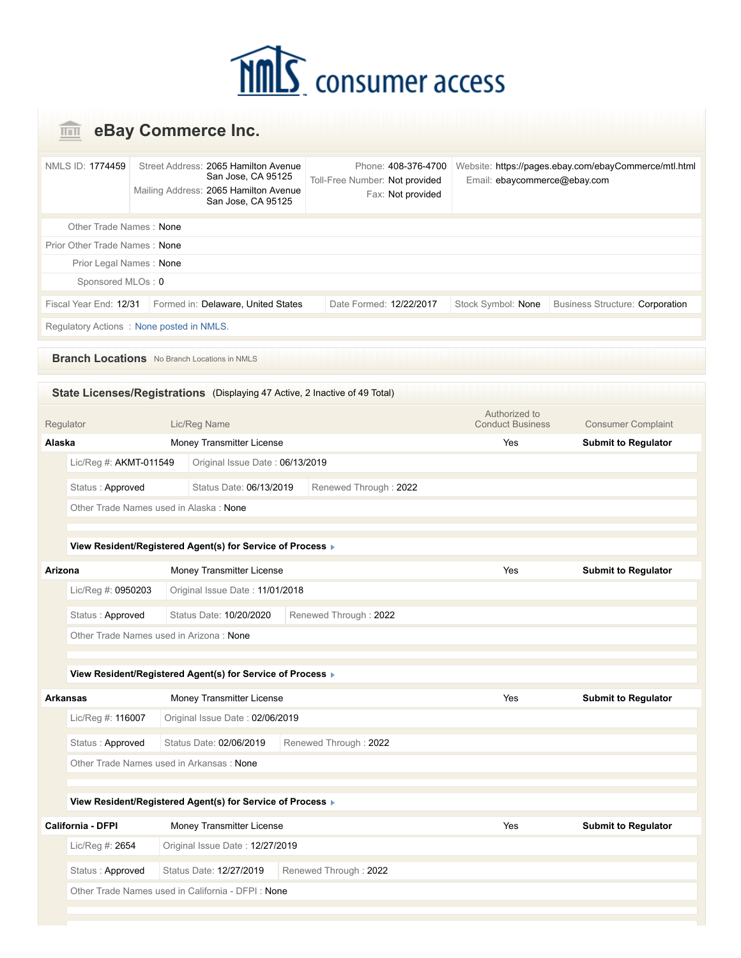## **MMC** consumer access

|                   |                        |                                          | eBay Commerce Inc.                                                                                                        |                                                                            |                                          |                                                       |
|-------------------|------------------------|------------------------------------------|---------------------------------------------------------------------------------------------------------------------------|----------------------------------------------------------------------------|------------------------------------------|-------------------------------------------------------|
| NMLS ID: 1774459  |                        |                                          | Street Address: 2065 Hamilton Avenue<br>San Jose, CA 95125<br>Mailing Address: 2065 Hamilton Avenue<br>San Jose, CA 95125 | Phone: 408-376-4700<br>Toll-Free Number: Not provided<br>Fax: Not provided | Email: ebaycommerce@ebay.com             | Website: https://pages.ebay.com/ebayCommerce/mtl.html |
|                   |                        | Other Trade Names: None                  |                                                                                                                           |                                                                            |                                          |                                                       |
|                   |                        | Prior Other Trade Names: None            |                                                                                                                           |                                                                            |                                          |                                                       |
|                   |                        | Prior Legal Names: None                  |                                                                                                                           |                                                                            |                                          |                                                       |
|                   | Sponsored MLOs: 0      |                                          |                                                                                                                           |                                                                            |                                          |                                                       |
|                   | Fiscal Year End: 12/31 |                                          | Formed in: Delaware, United States                                                                                        | Date Formed: 12/22/2017                                                    | Stock Symbol: None                       | <b>Business Structure: Corporation</b>                |
|                   |                        | Regulatory Actions: None posted in NMLS. |                                                                                                                           |                                                                            |                                          |                                                       |
|                   |                        |                                          | <b>Branch Locations</b> No Branch Locations in NMLS                                                                       |                                                                            |                                          |                                                       |
|                   |                        |                                          | State Licenses/Registrations (Displaying 47 Active, 2 Inactive of 49 Total)                                               |                                                                            |                                          |                                                       |
| Regulator         |                        |                                          | Lic/Reg Name                                                                                                              |                                                                            | Authorized to<br><b>Conduct Business</b> | <b>Consumer Complaint</b>                             |
| Alaska            |                        |                                          | Money Transmitter License                                                                                                 |                                                                            | Yes                                      | <b>Submit to Regulator</b>                            |
|                   | Lic/Reg #: AKMT-011549 |                                          | Original Issue Date: 06/13/2019                                                                                           |                                                                            |                                          |                                                       |
|                   | Status: Approved       |                                          | Status Date: 06/13/2019                                                                                                   | Renewed Through: 2022                                                      |                                          |                                                       |
|                   |                        |                                          | Other Trade Names used in Alaska: None                                                                                    |                                                                            |                                          |                                                       |
|                   |                        |                                          |                                                                                                                           |                                                                            |                                          |                                                       |
|                   |                        |                                          | View Resident/Registered Agent(s) for Service of Process ▶                                                                |                                                                            |                                          |                                                       |
| Arizona           |                        |                                          | Money Transmitter License                                                                                                 |                                                                            | Yes                                      | <b>Submit to Regulator</b>                            |
|                   | Lic/Reg #: 0950203     |                                          | Original Issue Date: 11/01/2018                                                                                           |                                                                            |                                          |                                                       |
|                   | Status: Approved       |                                          | Status Date: 10/20/2020                                                                                                   | Renewed Through: 2022                                                      |                                          |                                                       |
|                   |                        |                                          | Other Trade Names used in Arizona: None                                                                                   |                                                                            |                                          |                                                       |
|                   |                        |                                          |                                                                                                                           |                                                                            |                                          |                                                       |
|                   |                        |                                          | View Resident/Registered Agent(s) for Service of Process >                                                                |                                                                            |                                          |                                                       |
| <b>Arkansas</b>   |                        |                                          | Money Transmitter License                                                                                                 |                                                                            | Yes                                      | <b>Submit to Regulator</b>                            |
|                   | Lic/Reg #: 116007      |                                          | Original Issue Date: 02/06/2019                                                                                           |                                                                            |                                          |                                                       |
|                   | Status: Approved       |                                          | Status Date: 02/06/2019                                                                                                   | Renewed Through: 2022                                                      |                                          |                                                       |
|                   |                        |                                          | Other Trade Names used in Arkansas: None                                                                                  |                                                                            |                                          |                                                       |
|                   |                        |                                          | View Resident/Registered Agent(s) for Service of Process >                                                                |                                                                            |                                          |                                                       |
| California - DFPI |                        |                                          | Money Transmitter License                                                                                                 |                                                                            | Yes                                      | <b>Submit to Regulator</b>                            |
|                   | Lic/Reg #: 2654        |                                          | Original Issue Date: 12/27/2019                                                                                           |                                                                            |                                          |                                                       |
|                   | Status: Approved       |                                          | Status Date: 12/27/2019                                                                                                   | Renewed Through: 2022                                                      |                                          |                                                       |
|                   |                        |                                          | Other Trade Names used in California - DFPI: None                                                                         |                                                                            |                                          |                                                       |
|                   |                        |                                          |                                                                                                                           |                                                                            |                                          |                                                       |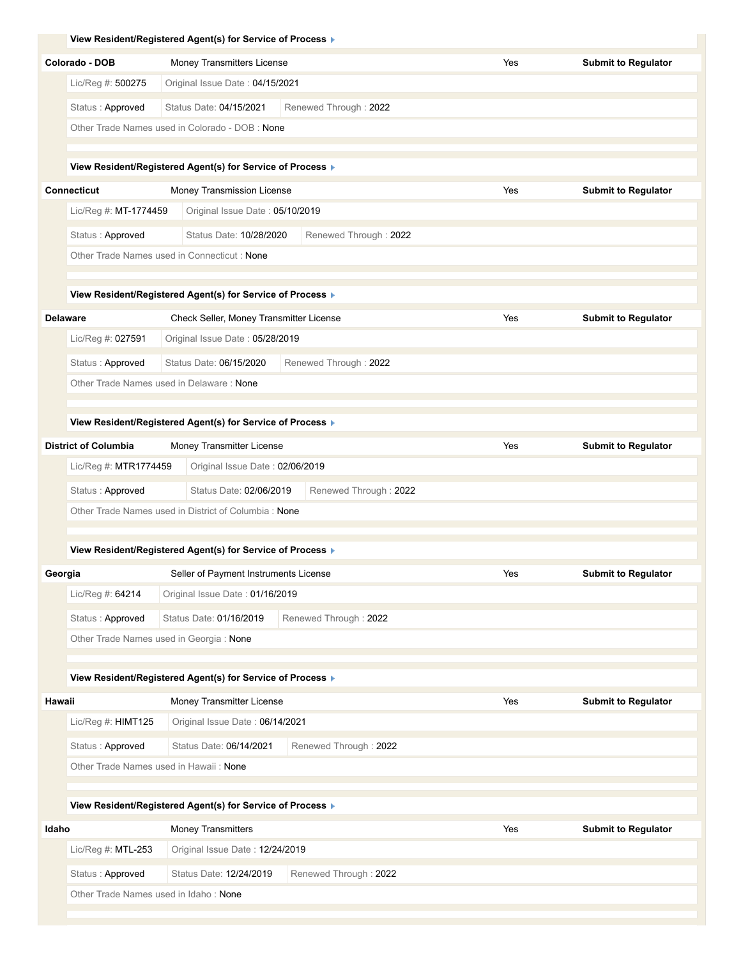|         |                                       | View Resident/Registered Agent(s) for Service of Process ▶               |                       |     |                            |
|---------|---------------------------------------|--------------------------------------------------------------------------|-----------------------|-----|----------------------------|
|         | Colorado - DOB                        | Money Transmitters License                                               |                       | Yes | <b>Submit to Regulator</b> |
|         | Lic/Reg #: 500275                     | Original Issue Date: 04/15/2021                                          |                       |     |                            |
|         | Status: Approved                      | Status Date: 04/15/2021                                                  | Renewed Through: 2022 |     |                            |
|         |                                       | Other Trade Names used in Colorado - DOB : None                          |                       |     |                            |
|         |                                       |                                                                          |                       |     |                            |
|         |                                       | View Resident/Registered Agent(s) for Service of Process ▶               |                       |     |                            |
|         | <b>Connecticut</b>                    | Money Transmission License                                               |                       | Yes | <b>Submit to Regulator</b> |
|         | Lic/Reg #: MT-1774459                 | Original Issue Date: 05/10/2019                                          |                       |     |                            |
|         | Status: Approved                      | Status Date: 10/28/2020                                                  | Renewed Through: 2022 |     |                            |
|         |                                       | Other Trade Names used in Connecticut: None                              |                       |     |                            |
|         |                                       | View Resident/Registered Agent(s) for Service of Process ▶               |                       |     |                            |
|         | <b>Delaware</b>                       | Check Seller, Money Transmitter License                                  |                       | Yes | <b>Submit to Regulator</b> |
|         | Lic/Reg #: 027591                     | Original Issue Date: 05/28/2019                                          |                       |     |                            |
|         | Status: Approved                      | Status Date: 06/15/2020                                                  | Renewed Through: 2022 |     |                            |
|         |                                       | Other Trade Names used in Delaware: None                                 |                       |     |                            |
|         |                                       |                                                                          |                       |     |                            |
|         |                                       | View Resident/Registered Agent(s) for Service of Process ▶               |                       |     |                            |
|         | <b>District of Columbia</b>           | Money Transmitter License                                                |                       | Yes | <b>Submit to Regulator</b> |
|         | Lic/Reg #: MTR1774459                 | Original Issue Date: 02/06/2019                                          |                       |     |                            |
|         | Status: Approved                      | Status Date: 02/06/2019                                                  | Renewed Through: 2022 |     |                            |
|         |                                       | Other Trade Names used in District of Columbia: None                     |                       |     |                            |
|         |                                       |                                                                          |                       |     |                            |
|         |                                       | View Resident/Registered Agent(s) for Service of Process ▶               |                       |     |                            |
| Georgia | Lic/Reg #: 64214                      | Seller of Payment Instruments License<br>Original Issue Date: 01/16/2019 |                       | Yes | <b>Submit to Regulator</b> |
|         |                                       |                                                                          |                       |     |                            |
|         | Status: Approved                      | Status Date: 01/16/2019<br>Other Trade Names used in Georgia: None       | Renewed Through: 2022 |     |                            |
|         |                                       |                                                                          |                       |     |                            |
|         |                                       | View Resident/Registered Agent(s) for Service of Process                 |                       |     |                            |
| Hawaii  |                                       | Money Transmitter License                                                |                       | Yes | <b>Submit to Regulator</b> |
|         | Lic/Reg #: HIMT125                    | Original Issue Date: 06/14/2021                                          |                       |     |                            |
|         | Status: Approved                      | Status Date: 06/14/2021                                                  | Renewed Through: 2022 |     |                            |
|         |                                       | Other Trade Names used in Hawaii: None                                   |                       |     |                            |
|         |                                       |                                                                          |                       |     |                            |
|         |                                       | View Resident/Registered Agent(s) for Service of Process ▶               |                       |     |                            |
| Idaho   |                                       | Money Transmitters                                                       |                       | Yes | <b>Submit to Regulator</b> |
|         | Lic/Reg #: MTL-253                    | Original Issue Date: 12/24/2019                                          |                       |     |                            |
|         | Status: Approved                      | Status Date: 12/24/2019                                                  | Renewed Through: 2022 |     |                            |
|         | Other Trade Names used in Idaho: None |                                                                          |                       |     |                            |
|         |                                       |                                                                          |                       |     |                            |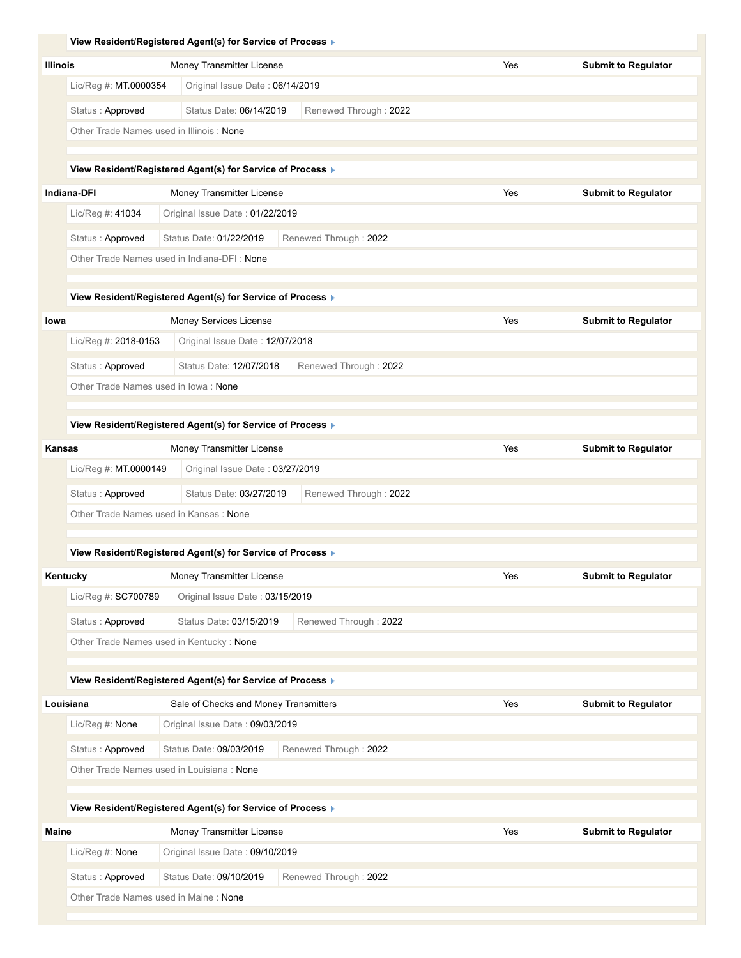|                                             | View Resident/Registered Agent(s) for Service of Process ▶ |                       |     |                            |
|---------------------------------------------|------------------------------------------------------------|-----------------------|-----|----------------------------|
| <b>Illinois</b>                             | Money Transmitter License                                  |                       | Yes | <b>Submit to Regulator</b> |
| Lic/Reg #: $MT.0000354$                     | Original Issue Date: 06/14/2019                            |                       |     |                            |
| Status: Approved                            | Status Date: 06/14/2019                                    | Renewed Through: 2022 |     |                            |
| Other Trade Names used in Illinois: None    |                                                            |                       |     |                            |
|                                             |                                                            |                       |     |                            |
|                                             | View Resident/Registered Agent(s) for Service of Process ▶ |                       |     |                            |
| <b>Indiana-DFI</b>                          | Money Transmitter License                                  |                       | Yes | <b>Submit to Regulator</b> |
| Lic/Reg #: 41034                            | Original Issue Date: 01/22/2019                            |                       |     |                            |
| Status: Approved                            | Status Date: 01/22/2019                                    | Renewed Through: 2022 |     |                            |
| Other Trade Names used in Indiana-DFI: None |                                                            |                       |     |                            |
|                                             |                                                            |                       |     |                            |
|                                             | View Resident/Registered Agent(s) for Service of Process ▶ |                       |     |                            |
| lowa                                        | Money Services License                                     |                       | Yes | <b>Submit to Regulator</b> |
| Lic/Reg #: 2018-0153                        | Original Issue Date: 12/07/2018                            |                       |     |                            |
| Status: Approved                            | Status Date: 12/07/2018                                    | Renewed Through: 2022 |     |                            |
| Other Trade Names used in lowa: None        |                                                            |                       |     |                            |
|                                             |                                                            |                       |     |                            |
|                                             | View Resident/Registered Agent(s) for Service of Process ▶ |                       |     |                            |
| Kansas                                      | Money Transmitter License                                  |                       | Yes | <b>Submit to Regulator</b> |
| Lic/Reg #: MT.0000149                       | Original Issue Date: 03/27/2019                            |                       |     |                            |
| Status: Approved                            | Status Date: 03/27/2019                                    | Renewed Through: 2022 |     |                            |
| Other Trade Names used in Kansas: None      |                                                            |                       |     |                            |
|                                             |                                                            |                       |     |                            |
|                                             | View Resident/Registered Agent(s) for Service of Process ▶ |                       |     |                            |
| Kentucky                                    | Money Transmitter License                                  |                       | Yes | <b>Submit to Regulator</b> |
| Lic/Reg #: SC700789                         | Original Issue Date: 03/15/2019                            |                       |     |                            |
| Status: Approved                            | Status Date: 03/15/2019                                    | Renewed Through: 2022 |     |                            |
| Other Trade Names used in Kentucky: None    |                                                            |                       |     |                            |
|                                             |                                                            |                       |     |                            |
|                                             | View Resident/Registered Agent(s) for Service of Process > |                       |     |                            |
| Louisiana                                   | Sale of Checks and Money Transmitters                      |                       | Yes | <b>Submit to Regulator</b> |
| Lic/Reg #: None                             | Original Issue Date: 09/03/2019                            |                       |     |                            |
| Status: Approved                            | Status Date: 09/03/2019                                    | Renewed Through: 2022 |     |                            |
| Other Trade Names used in Louisiana: None   |                                                            |                       |     |                            |
|                                             |                                                            |                       |     |                            |
|                                             | View Resident/Registered Agent(s) for Service of Process ▶ |                       |     |                            |
| <b>Maine</b>                                | Money Transmitter License                                  |                       | Yes | <b>Submit to Regulator</b> |
|                                             |                                                            |                       |     |                            |
| Lic/Reg #: None                             | Original Issue Date: 09/10/2019                            |                       |     |                            |
| Status: Approved                            | Status Date: 09/10/2019                                    | Renewed Through: 2022 |     |                            |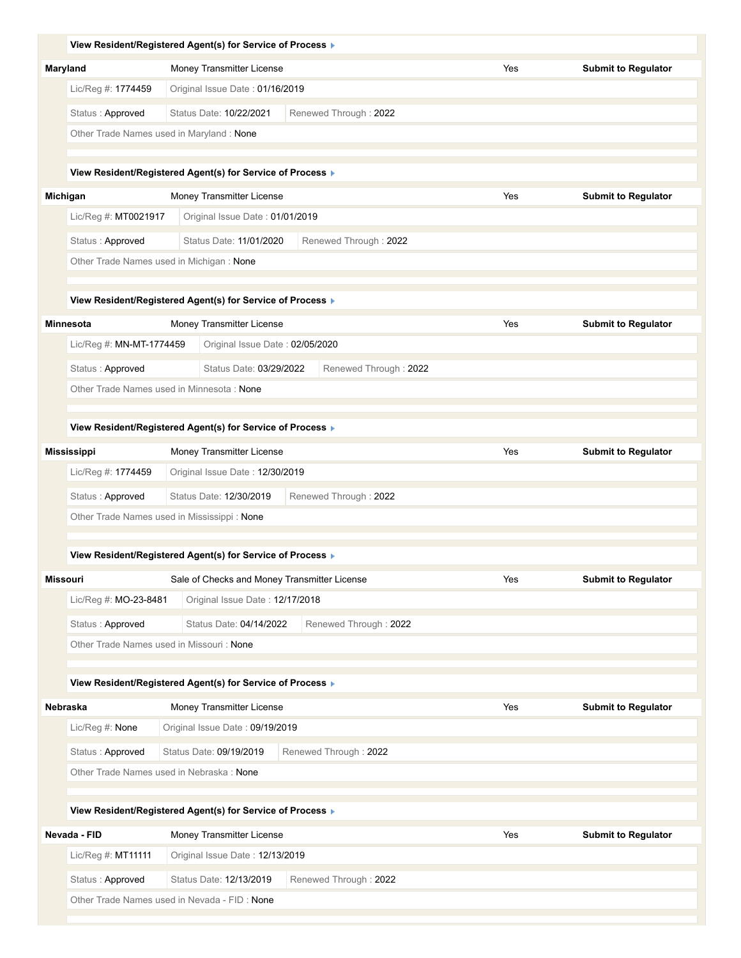|                                                              | View Resident/Registered Agent(s) for Service of Process ▶                      |                       |     |                            |
|--------------------------------------------------------------|---------------------------------------------------------------------------------|-----------------------|-----|----------------------------|
| Maryland                                                     | Money Transmitter License                                                       |                       | Yes | <b>Submit to Regulator</b> |
| Lic/Reg #: 1774459                                           | Original Issue Date: 01/16/2019                                                 |                       |     |                            |
| Status: Approved                                             | Status Date: 10/22/2021                                                         | Renewed Through: 2022 |     |                            |
| Other Trade Names used in Maryland: None                     |                                                                                 |                       |     |                            |
|                                                              |                                                                                 |                       |     |                            |
|                                                              | View Resident/Registered Agent(s) for Service of Process ▶                      |                       |     |                            |
| Michigan                                                     | Money Transmitter License                                                       |                       | Yes | <b>Submit to Regulator</b> |
| Lic/Reg #: MT0021917                                         | Original Issue Date: 01/01/2019                                                 |                       |     |                            |
| Status: Approved                                             | Status Date: 11/01/2020                                                         | Renewed Through: 2022 |     |                            |
| Other Trade Names used in Michigan: None                     |                                                                                 |                       |     |                            |
|                                                              |                                                                                 |                       |     |                            |
|                                                              | View Resident/Registered Agent(s) for Service of Process ▶                      |                       |     |                            |
| <b>Minnesota</b>                                             | Money Transmitter License                                                       |                       | Yes | <b>Submit to Regulator</b> |
| Lic/Reg #: MN-MT-1774459                                     | Original Issue Date: 02/05/2020                                                 |                       |     |                            |
| Status: Approved                                             | Status Date: 03/29/2022                                                         | Renewed Through: 2022 |     |                            |
| Other Trade Names used in Minnesota: None                    |                                                                                 |                       |     |                            |
|                                                              |                                                                                 |                       |     |                            |
|                                                              | View Resident/Registered Agent(s) for Service of Process ▶                      |                       |     |                            |
| <b>Mississippi</b>                                           | Money Transmitter License                                                       |                       | Yes | <b>Submit to Regulator</b> |
| Lic/Reg #: 1774459                                           | Original Issue Date: 12/30/2019                                                 |                       |     |                            |
| Status: Approved                                             | Status Date: 12/30/2019                                                         | Renewed Through: 2022 |     |                            |
| Other Trade Names used in Mississippi: None                  |                                                                                 |                       |     |                            |
|                                                              | View Resident/Registered Agent(s) for Service of Process ▶                      |                       |     |                            |
|                                                              |                                                                                 |                       |     |                            |
| Missouri                                                     | Sale of Checks and Money Transmitter License<br>Original Issue Date: 12/17/2018 |                       | Yes | <b>Submit to Regulator</b> |
| Lic/Reg #: MO-23-8481                                        |                                                                                 |                       |     |                            |
| Status: Approved                                             | Status Date: 04/14/2022                                                         | Renewed Through: 2022 |     |                            |
| Other Trade Names used in Missouri: None                     |                                                                                 |                       |     |                            |
|                                                              | View Resident/Registered Agent(s) for Service of Process ▶                      |                       |     |                            |
| Nebraska                                                     | Money Transmitter License                                                       |                       | Yes | <b>Submit to Regulator</b> |
| Lic/Reg #: None                                              | Original Issue Date: 09/19/2019                                                 |                       |     |                            |
|                                                              |                                                                                 |                       |     |                            |
| Status: Approved<br>Other Trade Names used in Nebraska: None | Status Date: 09/19/2019                                                         | Renewed Through: 2022 |     |                            |
|                                                              |                                                                                 |                       |     |                            |
|                                                              | View Resident/Registered Agent(s) for Service of Process >                      |                       |     |                            |
| Nevada - FID                                                 | Money Transmitter License                                                       |                       | Yes | <b>Submit to Regulator</b> |
| Lic/Reg #: MT11111                                           | Original Issue Date: 12/13/2019                                                 |                       |     |                            |
| Status: Approved                                             | Status Date: 12/13/2019                                                         | Renewed Through: 2022 |     |                            |
| Other Trade Names used in Nevada - FID: None                 |                                                                                 |                       |     |                            |
|                                                              |                                                                                 |                       |     |                            |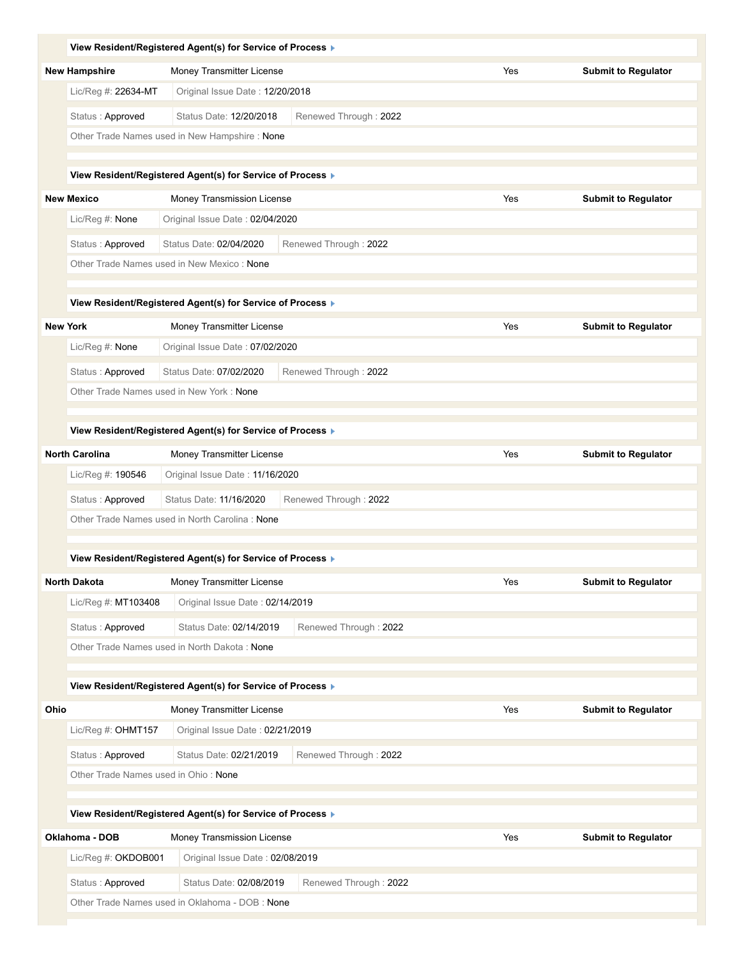|                   |                                      | View Resident/Registered Agent(s) for Service of Process ▶ |                       |     |                            |
|-------------------|--------------------------------------|------------------------------------------------------------|-----------------------|-----|----------------------------|
|                   | <b>New Hampshire</b>                 | Money Transmitter License                                  |                       | Yes | <b>Submit to Regulator</b> |
|                   | Lic/Reg #: 22634-MT                  | Original Issue Date: 12/20/2018                            |                       |     |                            |
|                   | Status: Approved                     | Status Date: 12/20/2018                                    | Renewed Through: 2022 |     |                            |
|                   |                                      | Other Trade Names used in New Hampshire: None              |                       |     |                            |
|                   |                                      |                                                            |                       |     |                            |
|                   |                                      | View Resident/Registered Agent(s) for Service of Process ▶ |                       |     |                            |
| <b>New Mexico</b> |                                      | Money Transmission License                                 |                       | Yes | <b>Submit to Regulator</b> |
|                   | Lic/Reg #: None                      | Original Issue Date: 02/04/2020                            |                       |     |                            |
|                   | Status: Approved                     | Status Date: 02/04/2020                                    | Renewed Through: 2022 |     |                            |
|                   |                                      | Other Trade Names used in New Mexico: None                 |                       |     |                            |
|                   |                                      | View Resident/Registered Agent(s) for Service of Process ▶ |                       |     |                            |
| <b>New York</b>   |                                      | Money Transmitter License                                  |                       | Yes | <b>Submit to Regulator</b> |
|                   | Lic/Reg #: None                      | Original Issue Date: 07/02/2020                            |                       |     |                            |
|                   | Status: Approved                     | Status Date: 07/02/2020                                    | Renewed Through: 2022 |     |                            |
|                   |                                      | Other Trade Names used in New York: None                   |                       |     |                            |
|                   |                                      |                                                            |                       |     |                            |
|                   |                                      | View Resident/Registered Agent(s) for Service of Process ▶ |                       |     |                            |
|                   | <b>North Carolina</b>                | Money Transmitter License                                  |                       | Yes | <b>Submit to Regulator</b> |
|                   | Lic/Reg #: 190546                    | Original Issue Date: 11/16/2020                            |                       |     |                            |
|                   | Status: Approved                     | Status Date: 11/16/2020                                    | Renewed Through: 2022 |     |                            |
|                   |                                      | Other Trade Names used in North Carolina: None             |                       |     |                            |
|                   |                                      |                                                            |                       |     |                            |
|                   |                                      | View Resident/Registered Agent(s) for Service of Process ▶ |                       |     |                            |
|                   | <b>North Dakota</b>                  | Money Transmitter License                                  |                       | Yes | <b>Submit to Regulator</b> |
|                   | Lic/Reg #: MT103408                  | Original Issue Date: 02/14/2019                            |                       |     |                            |
|                   | Status: Approved                     | Status Date: 02/14/2019                                    | Renewed Through: 2022 |     |                            |
|                   |                                      | Other Trade Names used in North Dakota: None               |                       |     |                            |
|                   |                                      | View Resident/Registered Agent(s) for Service of Process ▶ |                       |     |                            |
| Ohio              |                                      | Money Transmitter License                                  |                       | Yes | <b>Submit to Regulator</b> |
|                   | Lic/Reg #: OHMT157                   | Original Issue Date: 02/21/2019                            |                       |     |                            |
|                   | Status: Approved                     | Status Date: 02/21/2019                                    | Renewed Through: 2022 |     |                            |
|                   | Other Trade Names used in Ohio: None |                                                            |                       |     |                            |
|                   |                                      |                                                            |                       |     |                            |
|                   |                                      | View Resident/Registered Agent(s) for Service of Process ▶ |                       |     |                            |
|                   | Oklahoma - DOB                       | Money Transmission License                                 |                       | Yes | <b>Submit to Regulator</b> |
|                   | Lic/Reg #: OKDOB001                  | Original Issue Date: 02/08/2019                            |                       |     |                            |
|                   | Status: Approved                     | Status Date: 02/08/2019                                    | Renewed Through: 2022 |     |                            |
|                   |                                      | Other Trade Names used in Oklahoma - DOB : None            |                       |     |                            |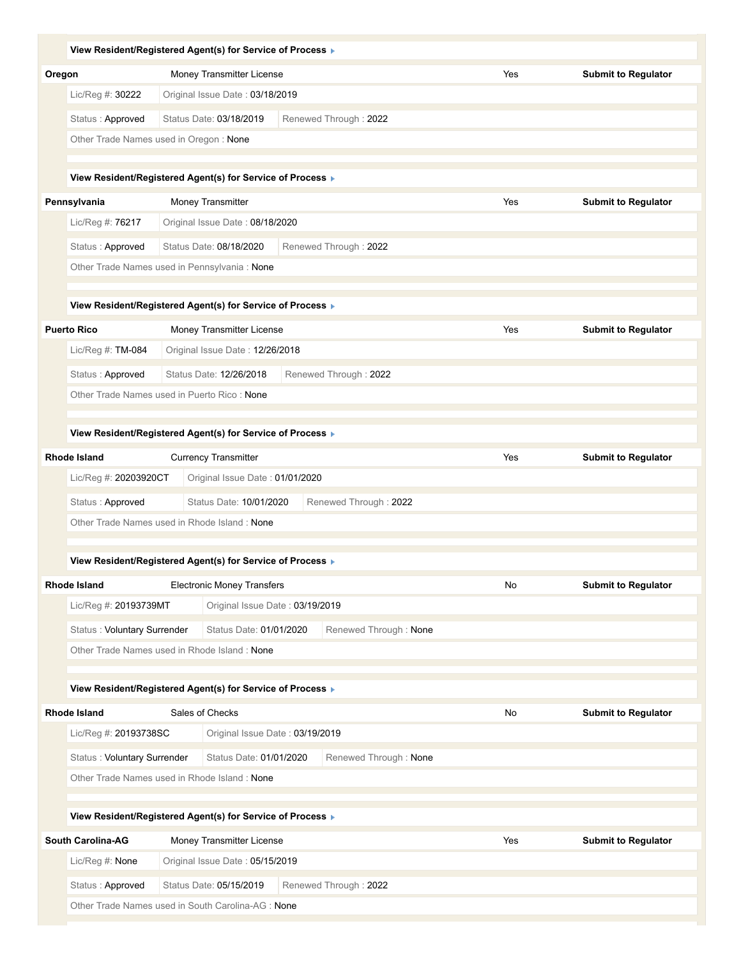| View Resident/Registered Agent(s) for Service of Process ▶                        |                   |                                                              |                       |     |                            |
|-----------------------------------------------------------------------------------|-------------------|--------------------------------------------------------------|-----------------------|-----|----------------------------|
| Oregon                                                                            |                   | Money Transmitter License                                    |                       | Yes | <b>Submit to Regulator</b> |
| Lic/Reg #: 30222                                                                  |                   | Original Issue Date: 03/18/2019                              |                       |     |                            |
| Status: Approved                                                                  |                   | Status Date: 03/18/2019                                      | Renewed Through: 2022 |     |                            |
| Other Trade Names used in Oregon: None                                            |                   |                                                              |                       |     |                            |
| View Resident/Registered Agent(s) for Service of Process ▶                        |                   |                                                              |                       |     |                            |
| Pennsylvania                                                                      | Money Transmitter |                                                              |                       | Yes | <b>Submit to Regulator</b> |
| Lic/Reg #: 76217                                                                  |                   | Original Issue Date: 08/18/2020                              |                       |     |                            |
| Status: Approved                                                                  |                   | Status Date: 08/18/2020                                      | Renewed Through: 2022 |     |                            |
| Other Trade Names used in Pennsylvania : None                                     |                   |                                                              |                       |     |                            |
| View Resident/Registered Agent(s) for Service of Process ▶                        |                   |                                                              |                       |     |                            |
| <b>Puerto Rico</b>                                                                |                   | Money Transmitter License                                    |                       | Yes | <b>Submit to Regulator</b> |
| Lic/Req #: TM-084                                                                 |                   | Original Issue Date: 12/26/2018                              |                       |     |                            |
| Status: Approved                                                                  |                   | Status Date: 12/26/2018                                      | Renewed Through: 2022 |     |                            |
| Other Trade Names used in Puerto Rico: None                                       |                   |                                                              |                       |     |                            |
| View Resident/Registered Agent(s) for Service of Process ▶                        |                   |                                                              |                       |     |                            |
| Rhode Island                                                                      |                   | <b>Currency Transmitter</b>                                  |                       | Yes | <b>Submit to Regulator</b> |
| Lic/Reg #: 20203920CT                                                             |                   | Original Issue Date: 01/01/2020                              |                       |     |                            |
| Status: Approved                                                                  |                   | Status Date: 10/01/2020                                      | Renewed Through: 2022 |     |                            |
| Other Trade Names used in Rhode Island: None                                      |                   |                                                              |                       |     |                            |
| View Resident/Registered Agent(s) for Service of Process ▶                        |                   |                                                              |                       |     |                            |
| <b>Rhode Island</b>                                                               |                   | <b>Electronic Money Transfers</b>                            |                       | No  | <b>Submit to Regulator</b> |
| Lic/Reg #: 20193739MT                                                             |                   | Original Issue Date: 03/19/2019                              |                       |     |                            |
| Status: Voluntary Surrender                                                       |                   | Status Date: 01/01/2020                                      | Renewed Through: None |     |                            |
| Other Trade Names used in Rhode Island: None                                      |                   |                                                              |                       |     |                            |
|                                                                                   |                   |                                                              |                       |     |                            |
| View Resident/Registered Agent(s) for Service of Process ▶<br><b>Rhode Island</b> | Sales of Checks   |                                                              |                       | No  |                            |
| Lic/Reg #: 20193738SC                                                             |                   | Original Issue Date: 03/19/2019                              |                       |     | <b>Submit to Regulator</b> |
| Status: Voluntary Surrender                                                       |                   | Status Date: 01/01/2020                                      | Renewed Through: None |     |                            |
| Other Trade Names used in Rhode Island: None                                      |                   |                                                              |                       |     |                            |
| View Resident/Registered Agent(s) for Service of Process ▶                        |                   |                                                              |                       |     |                            |
| <b>South Carolina-AG</b>                                                          |                   |                                                              |                       |     |                            |
| Lic/Reg #: None                                                                   |                   | Money Transmitter License<br>Original Issue Date: 05/15/2019 |                       | Yes | <b>Submit to Regulator</b> |
|                                                                                   |                   |                                                              |                       |     |                            |
| Status: Approved                                                                  |                   | Status Date: 05/15/2019                                      | Renewed Through: 2022 |     |                            |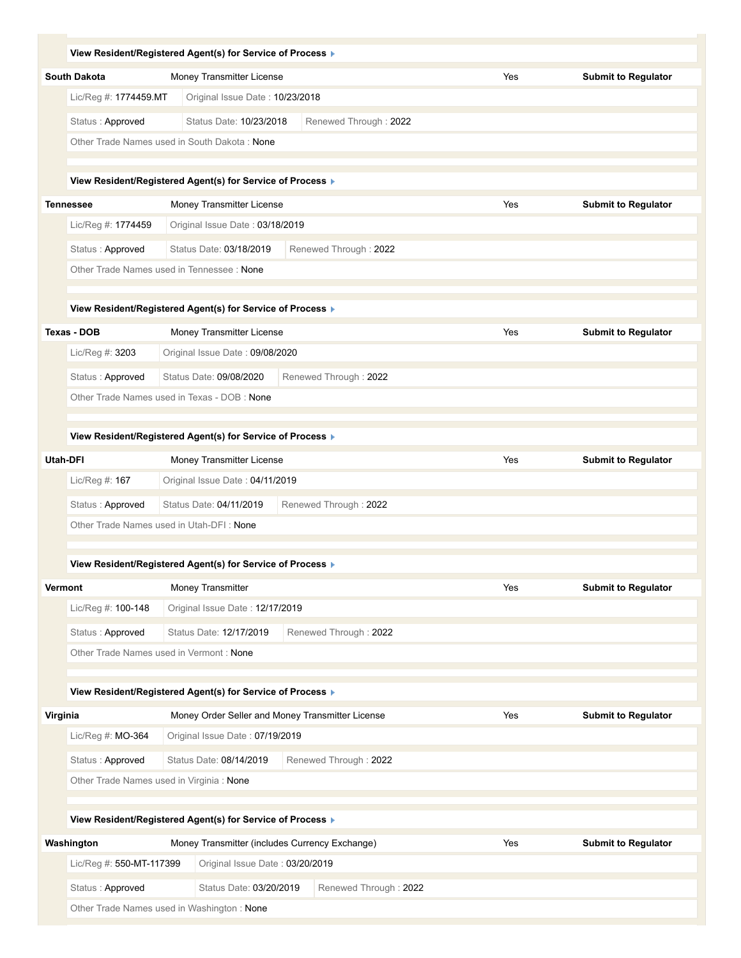|          | View Resident/Registered Agent(s) for Service of Process ▶    |                                                |                                                  |     |                            |
|----------|---------------------------------------------------------------|------------------------------------------------|--------------------------------------------------|-----|----------------------------|
|          | <b>South Dakota</b>                                           | Money Transmitter License                      |                                                  | Yes | <b>Submit to Regulator</b> |
|          | Lic/Reg #: 1774459.MT                                         | Original Issue Date: 10/23/2018                |                                                  |     |                            |
|          | Status: Approved                                              | Status Date: 10/23/2018                        | Renewed Through: 2022                            |     |                            |
|          | Other Trade Names used in South Dakota: None                  |                                                |                                                  |     |                            |
|          |                                                               |                                                |                                                  |     |                            |
|          | View Resident/Registered Agent(s) for Service of Process ▶    |                                                |                                                  |     |                            |
|          | <b>Tennessee</b>                                              | Money Transmitter License                      |                                                  | Yes | <b>Submit to Regulator</b> |
|          | Lic/Reg #: 1774459                                            | Original Issue Date: 03/18/2019                |                                                  |     |                            |
|          | Status: Approved<br>Other Trade Names used in Tennessee: None | Status Date: 03/18/2019                        | Renewed Through: 2022                            |     |                            |
|          |                                                               |                                                |                                                  |     |                            |
|          | View Resident/Registered Agent(s) for Service of Process ▶    |                                                |                                                  |     |                            |
|          | Texas - DOB                                                   | Money Transmitter License                      |                                                  | Yes | <b>Submit to Regulator</b> |
|          | Lic/Reg #: 3203                                               | Original Issue Date: 09/08/2020                |                                                  |     |                            |
|          | Status: Approved                                              | Status Date: 09/08/2020                        | Renewed Through: 2022                            |     |                            |
|          | Other Trade Names used in Texas - DOB : None                  |                                                |                                                  |     |                            |
|          |                                                               |                                                |                                                  |     |                            |
|          | View Resident/Registered Agent(s) for Service of Process ▶    |                                                |                                                  |     |                            |
|          | Utah-DFI                                                      | Money Transmitter License                      |                                                  | Yes | <b>Submit to Regulator</b> |
|          | Lic/Reg #: 167                                                | Original Issue Date: 04/11/2019                |                                                  |     |                            |
|          | Status: Approved                                              | Status Date: 04/11/2019                        | Renewed Through: 2022                            |     |                            |
|          | Other Trade Names used in Utah-DFI: None                      |                                                |                                                  |     |                            |
|          | View Resident/Registered Agent(s) for Service of Process ▶    |                                                |                                                  |     |                            |
|          | <b>Vermont</b>                                                | Money Transmitter                              |                                                  | Yes | <b>Submit to Regulator</b> |
|          | Lic/Reg #: 100-148                                            | Original Issue Date: 12/17/2019                |                                                  |     |                            |
|          | Status: Approved                                              | Status Date: 12/17/2019                        | Renewed Through: 2022                            |     |                            |
|          | Other Trade Names used in Vermont: None                       |                                                |                                                  |     |                            |
|          |                                                               |                                                |                                                  |     |                            |
|          | View Resident/Registered Agent(s) for Service of Process >    |                                                |                                                  |     |                            |
| Virginia |                                                               |                                                | Money Order Seller and Money Transmitter License | Yes | <b>Submit to Regulator</b> |
|          | Lic/Reg #: MO-364                                             | Original Issue Date: 07/19/2019                |                                                  |     |                            |
|          | Status: Approved                                              | Status Date: 08/14/2019                        | Renewed Through: 2022                            |     |                            |
|          | Other Trade Names used in Virginia : None                     |                                                |                                                  |     |                            |
|          |                                                               |                                                |                                                  |     |                            |
|          | View Resident/Registered Agent(s) for Service of Process ▶    |                                                |                                                  |     |                            |
|          | Washington                                                    | Money Transmitter (includes Currency Exchange) |                                                  | Yes | <b>Submit to Regulator</b> |
|          | Lic/Reg #: 550-MT-117399                                      | Original Issue Date: 03/20/2019                |                                                  |     |                            |
|          | Status: Approved                                              | Status Date: 03/20/2019                        | Renewed Through: 2022                            |     |                            |
|          | Other Trade Names used in Washington: None                    |                                                |                                                  |     |                            |